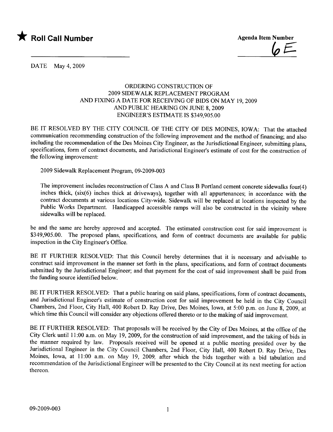

 $\psi \longleftarrow$ 

DATE May 4, 2009

## ORDERING CONSTRUCTION OF 2009 SIDEWALK REPLACEMENT PROGRAM AND FIXING A DATE FOR RECEIVING OF BIDS ON MAY 19, 2009 AND PUBLIC HEARING ON JUNE 8, 2009 ENGINEER'S ESTIMATE is \$349,905.00

BE IT RESOLVED BY THE CITY COUNCIL OF THE CITY OF DES MOINES, IOWA: That the attached communication recommending construction of the following improvement and the method of financing; and also including the recommendation of the Des Moines City Engineer, as the Jurisdictional Engineer, submitting plans, specifications, form of contract documents, and Jurisdictional Engineer's estimate of cost for the construction of the following improvement:

2009 Sidewalk Replacement Program, 09-2009-003

The improvement includes reconstruction of Class A and Class B Portland cement concrete sidewalks four(4) inches thick, (six(6) inches thick at driveways), together with all appurtenances; in accordance with the contract documents at various locations City-wide. Sidewalk will be replaced at locations inspected by the Public Works Department. Handicapped accessible ramps will also be constructed in the vicinity where sidewalks will be replaced.

be and the same are hereby approved and accepted. The estimated construction cost for said improvement is \$349,905.00. The proposed plans, specifications, and form of contract documents are available for public inspection in the City Engineer's Office.

BE IT FURTHER RESOLVED: That this Council hereby determines that it is necessary and advisable to construct said improvement in the manner set forth in the plans, specifications, and form of contract documents submitted by the Jurisdictional Engineer; and that payment for the cost of said improvement shall be paid from the funding source identified below.

BE IT FURTHER RESOLVED: That a public hearing on said plans, specifications, form of contract documents, and Jurisdictional Engineer's estimate of construction cost for said improvement be held in the City Council Chambers, 2nd Floor, City Hall, 400 Robert D. Ray Drive, Des Moines, Iowa, at 5:00 p.m. on June 8, 2009, at which time this Council will consider any objections offered thereto or to the making of said improvement.

BE IT FURTHER RESOLVED: That proposals will be received by the City of Des Moines, at the office of the City Clerk until 11 :00 a.m. on May 19, 2009, for the construction of said improvement, and the taking of bids in the manner required by law. Proposals received will be opened at a public meeting presided over by the Jurisdictional Engineer in the City Council Chambers, 2nd Floor, City Hall, 400 Robert D. Ray Drive, Des Moines, Iowa, at 11:00 a.m. on May 19, 2009, after which the bids together with a bid tabulation and recommendation of the Jurisdictional Engineer wil be presented to the City Council at its next meeting for action thereon.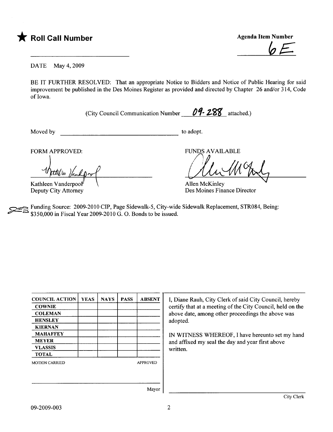

 $6 \leq$ 

DATE May 4, 2009

BE IT FURTHER RESOLVED: That an appropriate Notice to Bidders and Notice of Public Hearing for said improvement be published in the Des Moines Register as provided and directed by Chapter 26 and/or 314, Code of Iowa.

(City Council Communication Number  $\theta$ 9-288 attached.)

Moved by to adopt.

FORM APPROVED:

ttil in 11a m Kathleen Vanderpool

Deputy City Attorney

FUNDS AVAILABLE

UNDS AVAILABLE

Allen McKinley Des Moines Finance Director

~ Funding Source: 2009-2010 CIP, Page Sidewalk-5, City-wide Sidewalk Replacement, STR084, Being: \$350,000 in Fiscal Year 2009-2010 G. O. Bonds to be issued.

| <b>COUNCIL ACTION</b> | <b>YEAS</b> | <b>NAYS</b> | <b>PASS</b> | <b>ABSENT</b>   | I, Diane Rauh, City Clerk of said City Council, hereby     |
|-----------------------|-------------|-------------|-------------|-----------------|------------------------------------------------------------|
| <b>COWNIE</b>         |             |             |             |                 | certify that at a meeting of the City Council, held on the |
| <b>COLEMAN</b>        |             |             |             |                 | above date, among other proceedings the above was          |
| <b>HENSLEY</b>        |             |             |             |                 | adopted.                                                   |
| <b>KIERNAN</b>        |             |             |             |                 |                                                            |
| <b>MAHAFFEY</b>       |             |             |             |                 | IN WITNESS WHEREOF, I have hereunto set my hand            |
| <b>MEYER</b>          |             |             |             |                 | and affixed my seal the day and year first above           |
| <b>VLASSIS</b>        |             |             |             |                 | written.                                                   |
| <b>TOTAL</b>          |             |             |             |                 |                                                            |
| <b>MOTION CARRIED</b> |             |             |             | <b>APPROVED</b> |                                                            |
|                       |             |             |             |                 |                                                            |
|                       |             |             |             |                 |                                                            |
|                       |             |             |             |                 |                                                            |
|                       |             |             |             | Mayor           |                                                            |